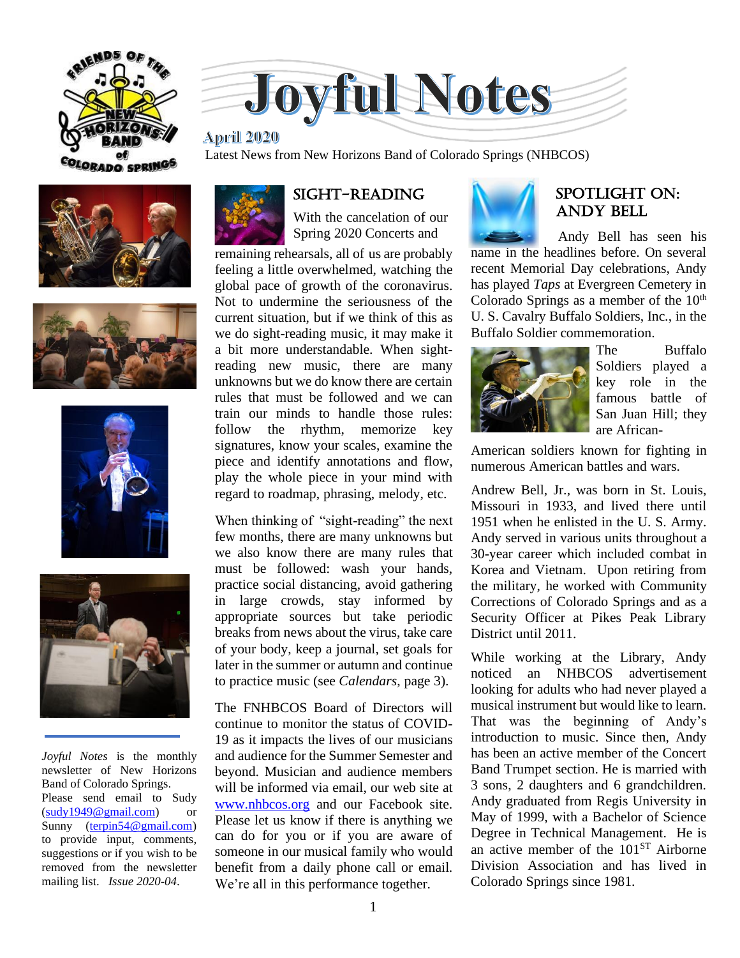



#### 

**of** Latest News from New Horizons Band of Colorado Springs (NHBCOS)









*Joyful Notes* is the monthly newsletter of New Horizons Band of Colorado Springs. Please send email to Sudy [\(sudy1949@gmail.com\)](mailto:sudy1949@gmail.com) or Sunny [\(terpin54@gmail.com\)](mailto:terpin54@gmail.com) to provide input, comments, suggestions or if you wish to be removed from the newsletter mailing list. *Issue 2020-04*.



# Sight-reading

With the cancelation of our Spring 2020 Concerts and

remaining rehearsals, all of us are probably feeling a little overwhelmed, watching the global pace of growth of the coronavirus. Not to undermine the seriousness of the current situation, but if we think of this as we do sight-reading music, it may make it a bit more understandable. When sightreading new music, there are many unknowns but we do know there are certain rules that must be followed and we can train our minds to handle those rules: follow the rhythm, memorize key signatures, know your scales, examine the piece and identify annotations and flow, play the whole piece in your mind with regard to roadmap, phrasing, melody, etc.

When thinking of "sight-reading" the next few months, there are many unknowns but we also know there are many rules that must be followed: wash your hands, practice social distancing, avoid gathering in large crowds, stay informed by appropriate sources but take periodic breaks from news about the virus, take care of your body, keep a journal, set goals for later in the summer or autumn and continue to practice music (see *Calendars*, page 3).

The FNHBCOS Board of Directors will continue to monitor the status of COVID-19 as it impacts the lives of our musicians and audience for the Summer Semester and beyond. Musician and audience members will be informed via email, our web site at [www.nhbcos.org](http://www.nhbcos.org/) and our Facebook site. Please let us know if there is anything we can do for you or if you are aware of someone in our musical family who would benefit from a daily phone call or email. We're all in this performance together.



## SPOTLIGHT on: andy bell

 Andy Bell has seen his name in the headlines before. On several recent Memorial Day celebrations, Andy has played *Taps* at Evergreen Cemetery in Colorado Springs as a member of the  $10<sup>th</sup>$ U. S. Cavalry Buffalo Soldiers, Inc., in the Buffalo Soldier commemoration.



The Buffalo Soldiers played a key role in the famous battle of San Juan Hill; they are African-

American soldiers known for fighting in numerous American battles and wars.

Andrew Bell, Jr., was born in St. Louis, Missouri in 1933, and lived there until 1951 when he enlisted in the U. S. Army. Andy served in various units throughout a 30-year career which included combat in Korea and Vietnam. Upon retiring from the military, he worked with Community Corrections of Colorado Springs and as a Security Officer at Pikes Peak Library District until 2011.

While working at the Library, Andy noticed an NHBCOS advertisement looking for adults who had never played a musical instrument but would like to learn. That was the beginning of Andy's introduction to music. Since then, Andy has been an active member of the Concert Band Trumpet section. He is married with 3 sons, 2 daughters and 6 grandchildren. Andy graduated from Regis University in May of 1999, with a Bachelor of Science Degree in Technical Management. He is an active member of the  $101<sup>ST</sup>$  Airborne Division Association and has lived in Colorado Springs since 1981.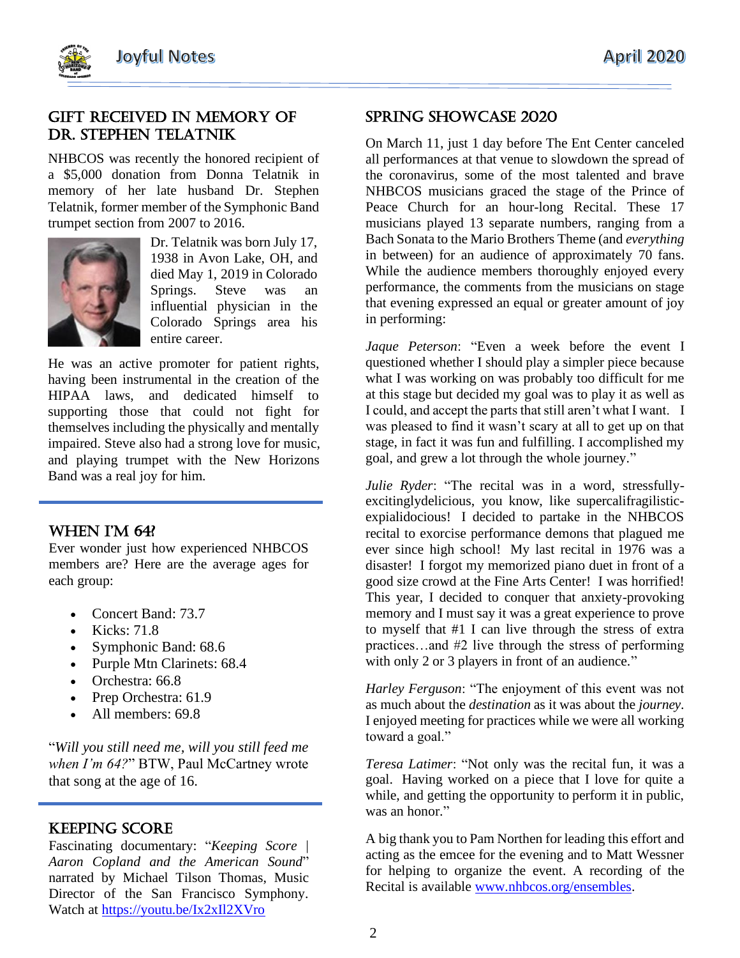

### gift Received in memory of dr. Stephen Telatnik

NHBCOS was recently the honored recipient of a \$5,000 donation from Donna Telatnik in memory of her late husband Dr. Stephen Telatnik, former member of the Symphonic Band trumpet section from 2007 to 2016.



Dr. Telatnik was born July 17, 1938 in Avon Lake, OH, and died May 1, 2019 in Colorado Springs. Steve was an influential physician in the Colorado Springs area his entire career.

He was an active promoter for patient rights, having been instrumental in the creation of the HIPAA laws, and dedicated himself to supporting those that could not fight for themselves including the physically and mentally impaired. Steve also had a strong love for music, and playing trumpet with the New Horizons Band was a real joy for him.

#### When I'm 64?

Ever wonder just how experienced NHBCOS members are? Here are the average ages for each group:

- Concert Band: 73.7
- Kicks: 71.8
- Symphonic Band: 68.6
- Purple Mtn Clarinets: 68.4
- Orchestra: 66.8
- Prep Orchestra: 61.9
- All members: 69.8

"*Will you still need me, will you still feed me when I'm 64?*" BTW, Paul McCartney wrote that song at the age of 16.

### Keeping score

Fascinating documentary: "*Keeping Score | Aaron Copland and the American Sound*" narrated by Michael Tilson Thomas, Music Director of the San Francisco Symphony. Watch at<https://youtu.be/Ix2xIl2XVro>

## Spring showcase 2020

On March 11, just 1 day before The Ent Center canceled all performances at that venue to slowdown the spread of the coronavirus, some of the most talented and brave NHBCOS musicians graced the stage of the Prince of Peace Church for an hour-long Recital. These 17 musicians played 13 separate numbers, ranging from a Bach Sonata to the Mario Brothers Theme (and *everything* in between) for an audience of approximately 70 fans. While the audience members thoroughly enjoyed every performance, the comments from the musicians on stage that evening expressed an equal or greater amount of joy in performing:

*Jaque Peterson*: "Even a week before the event I questioned whether I should play a simpler piece because what I was working on was probably too difficult for me at this stage but decided my goal was to play it as well as I could, and accept the parts that still aren't what I want. I was pleased to find it wasn't scary at all to get up on that stage, in fact it was fun and fulfilling. I accomplished my goal, and grew a lot through the whole journey."

*Julie Ryder*: "The recital was in a word, stressfullyexcitinglydelicious, you know, like supercalifragilisticexpialidocious! I decided to partake in the NHBCOS recital to exorcise performance demons that plagued me ever since high school! My last recital in 1976 was a disaster! I forgot my memorized piano duet in front of a good size crowd at the Fine Arts Center! I was horrified! This year, I decided to conquer that anxiety-provoking memory and I must say it was a great experience to prove to myself that #1 I can live through the stress of extra practices…and #2 live through the stress of performing with only 2 or 3 players in front of an audience."

*Harley Ferguson*: "The enjoyment of this event was not as much about the *destination* as it was about the *journey*. I enjoyed meeting for practices while we were all working toward a goal."

*Teresa Latimer*: "Not only was the recital fun, it was a goal. Having worked on a piece that I love for quite a while, and getting the opportunity to perform it in public, was an honor."

A big thank you to Pam Northen for leading this effort and acting as the emcee for the evening and to Matt Wessner for helping to organize the event. A recording of the Recital is available [www.nhbcos.org/ensembles.](http://www.nhbcos.org/ensembles)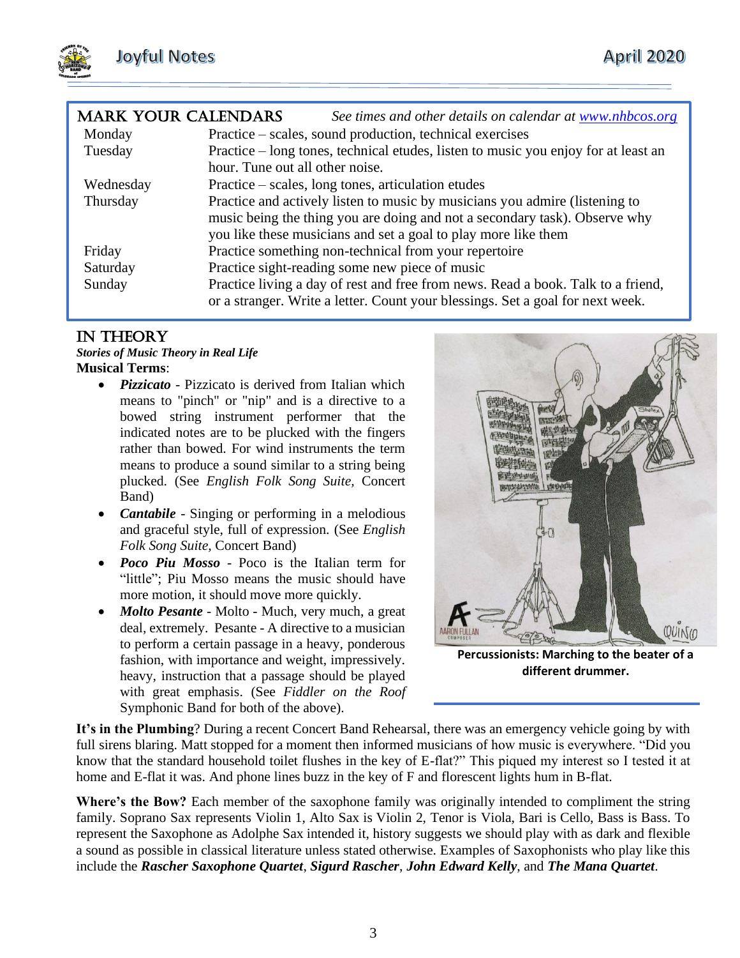| <b>MARK YOUR CALENDARS</b> | See times and other details on calendar at www.nhbcos.org                                                                                                          |
|----------------------------|--------------------------------------------------------------------------------------------------------------------------------------------------------------------|
| Monday                     | Practice – scales, sound production, technical exercises                                                                                                           |
| Tuesday                    | Practice – long tones, technical etudes, listen to music you enjoy for at least an                                                                                 |
|                            | hour. Tune out all other noise.                                                                                                                                    |
| Wednesday                  | Practice – scales, long tones, articulation etudes                                                                                                                 |
| Thursday                   | Practice and actively listen to music by musicians you admire (listening to                                                                                        |
|                            | music being the thing you are doing and not a secondary task). Observe why                                                                                         |
|                            | you like these musicians and set a goal to play more like them                                                                                                     |
| Friday                     | Practice something non-technical from your repertoire                                                                                                              |
| Saturday                   | Practice sight-reading some new piece of music                                                                                                                     |
| Sunday                     | Practice living a day of rest and free from news. Read a book. Talk to a friend,<br>or a stranger. Write a letter. Count your blessings. Set a goal for next week. |

## In theory

#### *Stories of Music Theory in Real Life* **Musical Terms**:

- *Pizzicato* Pizzicato is derived from Italian which means to "pinch" or "nip" and is a directive to a bowed string instrument performer that the indicated notes are to be plucked with the fingers rather than bowed. For wind instruments the term means to produce a sound similar to a string being plucked. (See *English Folk Song Suite,* Concert Band)
- *Cantabile -* Singing or performing in a melodious and graceful style, full of expression. (See *English Folk Song Suite,* Concert Band)
- *Poco Piu Mosso* Poco is the Italian term for "little"; Piu Mosso means the music should have more motion, it should move more quickly.
- *Molto Pesante* Molto Much, very much, a great deal, extremely. Pesante - A directive to a musician to perform a certain passage in a heavy, ponderous fashion, with importance and weight, impressively. heavy, instruction that a passage should be played with great emphasis. (See *Fiddler on the Roof*  Symphonic Band for both of the above).



**Percussionists: Marching to the beater of a different drummer.**

**It's in the Plumbing**? During a recent Concert Band Rehearsal, there was an emergency vehicle going by with full sirens blaring. Matt stopped for a moment then informed musicians of how music is everywhere. "Did you know that the standard household toilet flushes in the key of E-flat?" This piqued my interest so I tested it at home and E-flat it was. And phone lines buzz in the key of F and florescent lights hum in B-flat.

**Where's the Bow?** Each member of the saxophone family was originally intended to compliment the string family. Soprano Sax represents Violin 1, Alto Sax is Violin 2, Tenor is Viola, Bari is Cello, Bass is Bass. To represent the Saxophone as Adolphe Sax intended it, history suggests we should play with as dark and flexible a sound as possible in classical literature unless stated otherwise. Examples of Saxophonists who play like this include the *Rascher Saxophone Quartet*, *Sigurd Rascher*, *John Edward Kelly*, and *The Mana Quartet*.